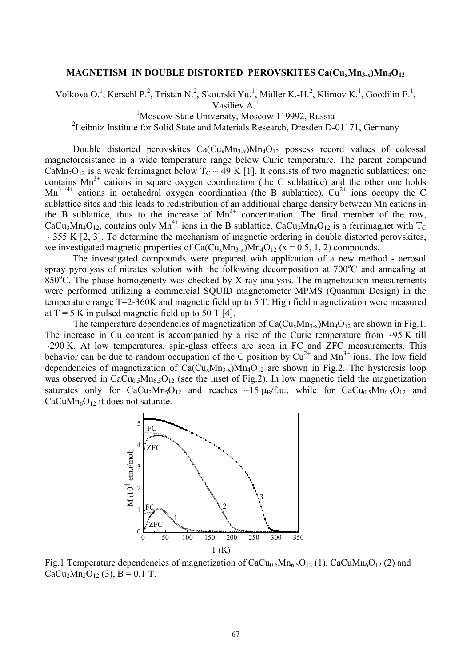## **MAGNETISM IN DOUBLE DISTORTED PEROVSKITES Ca(CuxMn3-x)Mn4O<sup>12</sup>**

Volkova O.<sup>1</sup>, Kerschl P.<sup>2</sup>, Tristan N.<sup>2</sup>, Skourski Yu.<sup>1</sup>, Müller K.-H.<sup>2</sup>, Klimov K.<sup>1</sup>, Goodilin E.<sup>1</sup>,

Vasiliev A.<sup>1</sup>

<sup>1</sup>Moscow State University, Moscow 119992, Russia

<sup>2</sup>Leibniz Institute for Solid State and Materials Research, Dresden D-01171, Germany

Double distorted perovskites  $Ca(Cu_xMn_{3-x})Mn_4O_{12}$  possess record values of colossal magnetoresistance in a wide temperature range below Curie temperature. The parent compound CaMn<sub>7</sub>O<sub>12</sub> is a weak ferrimagnet below  $T_c \sim 49$  K [1]. It consists of two magnetic sublattices: one contains  $Mn^{3+}$  cations in square oxygen coordination (the C sublattice) and the other one holds  $Mn^{3+/4+}$  cations in octahedral oxygen coordination (the B sublattice).  $Cu^{2+}$  ions occupy the C sublattice sites and this leads to redistribution of an additional charge density between Mn cations in the B sublattice, thus to the increase of  $Mn^{4+}$  concentration. The final member of the row, CaCu<sub>3</sub>Mn<sub>4</sub>O<sub>12</sub>, contains only Mn<sup>4+</sup> ions in the B sublattice. CaCu<sub>3</sub>Mn<sub>4</sub>O<sub>12</sub> is a ferrimagnet with T<sub>C</sub>  $\sim$  355 K [2, 3]. To determine the mechanism of magnetic ordering in double distorted perovskites, we investigated magnetic properties of  $Ca(Cu_xMn_{3-x})Mn_4O_1$  (x = 0.5, 1, 2) compounds.

The investigated compounds were prepared with application of a new method - aerosol spray pyrolysis of nitrates solution with the following decomposition at  $700^{\circ}$ C and annealing at  $850^{\circ}$ C. The phase homogeneity was checked by X-ray analysis. The magnetization measurements were performed utilizing a commercial SQUID magnetometer MPMS (Quantum Design) in the temperature range T=2-360K and magnetic field up to 5 T. High field magnetization were measured at  $T = 5$  K in pulsed magnetic field up to 50 T [4].

The temperature dependencies of magnetization of  $Ca(Cu_xMn_{3-x})Mn_4O_{12}$  are shown in Fig.1. The increase in Cu content is accompanied by a rise of the Curie temperature from  $\sim$ 95 K till  $\sim$ 290 K. At low temperatures, spin-glass effects are seen in FC and ZFC measurements. This behavior can be due to random occupation of the C position by  $Cu^{2+}$  and  $Mn^{3+}$  ions. The low field dependencies of magnetization of  $Ca(Cu_xMn_{3-x})Mn_4O_{12}$  are shown in Fig.2. The hysteresis loop was observed in  $CaCu<sub>0.5</sub>Mn<sub>6.5</sub>O<sub>12</sub>$  (see the inset of Fig.2). In low magnetic field the magnetization saturates only for  $CaCu<sub>2</sub>Mn<sub>5</sub>O<sub>12</sub>$  and reaches ~15  $\mu_B/f.u.,$  while for  $CaCu<sub>0.5</sub>Mn<sub>6.5</sub>O<sub>12</sub>$  and  $CaCuMn<sub>6</sub>O<sub>12</sub>$  it does not saturate.



Fig.1 Temperature dependencies of magnetization of  $CaCu<sub>0.5</sub>Mn<sub>6.5</sub>O<sub>12</sub> (1)$ ,  $CaCuMn<sub>6</sub>O<sub>12</sub> (2)$  and  $CaCu<sub>2</sub>Mn<sub>5</sub>O<sub>12</sub>$  (3), B = 0.1 T.